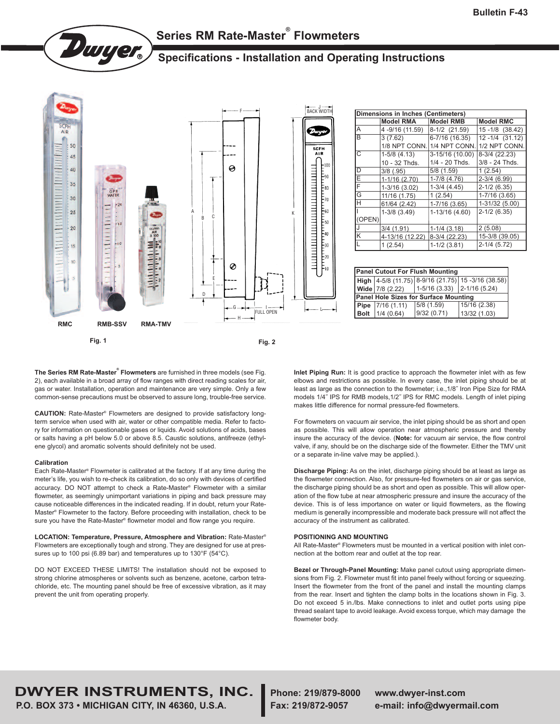

# **Series RM Rate-Master ® Flowmeters**

## **Specifications - Installation and Operating Instructions**



**The Series RM Rate-Master ® Flowmeters** are furnished in three models (see Fig. 2), each available in a broad array of flow ranges with direct reading scales for air, gas or water. Installation, operation and maintenance are very simple. Only a few common-sense precautions must be observed to assure long, trouble-free service.

**CAUTION:** Rate-Master ® Flowmeters are designed to provide satisfactory longterm service when used with air, water or other compatible media. Refer to factory for information on questionable gases or liquids. Avoid solutions of acids, bases or salts having a pH below 5.0 or above 8.5. Caustic solutions, antifreeze (ethylene glycol) and aromatic solvents should definitely not be used.

#### **Calibration**

Each Rate-Master ® Flowmeter is calibrated at the factory. If at any time during the meter's life, you wish to re-check its calibration, do so only with devices of certified accuracy. DO NOT attempt to check a Rate-Master ® Flowmeter with a similar flowmeter, as seemingly unimportant variations in piping and back pressure may cause noticeable differences in the indicated reading. If in doubt, return your Rate-Master ® Flowmeter to the factory. Before proceeding with installation, check to be sure you have the Rate-Master ® flowmeter model and flow range you require.

**LOCATION: Temperature, Pressure, Atmosphere and Vibration:** Rate-Master ® Flowmeters are exceptionally tough and strong. They are designed for use at pressures up to 100 psi (6.89 bar) and temperatures up to 130°F (54°C).

DO NOT EXCEED THESE LIMITS! The installation should not be exposed to strong chlorine atmospheres or solvents such as benzene, acetone, carbon tetrachloride, etc. The mounting panel should be free of excessive vibration, as it may prevent the unit from operating properly.

**Inlet Piping Run:** It is good practice to approach the flowmeter inlet with as few elbows and restrictions as possible. In every case, the inlet piping should be at least as large as the connection to the flowmeter; i.e.,1/8˝ Iron Pipe Size for RMA models 1/4˝ IPS for RMB models,1/2˝ IPS for RMC models. Length of inlet piping makes little difference for normal pressure-fed flowmeters.

For flowmeters on vacuum air service, the inlet piping should be as short and open as possible. This will allow operation near atmospheric pressure and thereby insure the accuracy of the device. (**Note:** for vacuum air service, the flow control valve, if any, should be on the discharge side of the flowmeter. Either the TMV unit or a separate in-line valve may be applied.).

**Discharge Piping:** As on the inlet, discharge piping should be at least as large as the flowmeter connection. Also, for pressure-fed flowmeters on air or gas service, the discharge piping should be as short and open as possible. This will allow operation of the flow tube at near atmospheric pressure and insure the accuracy of the device. This is of less importance on water or liquid flowmeters, as the flowing medium is generally incompressible and moderate back pressure will not affect the accuracy of the instrument as calibrated.

#### **POSITIONING AND MOUNTING**

All Rate-Master ® Flowmeters must be mounted in a vertical position with inlet connection at the bottom rear and outlet at the top rear.

**Bezel or Through-Panel Mounting:** Make panel cutout using appropriate dimensions from Fig. 2. Flowmeter must fit into panel freely without forcing or squeezing. Insert the flowmeter from the front of the panel and install the mounting clamps from the rear. Insert and tighten the clamp bolts in the locations shown in Fig. 3. Do not exceed 5 in./lbs. Make connections to inlet and outlet ports using pipe thread sealant tape to avoid leakage. Avoid excess torque, which may damage the flowmeter body.

# **DWYER INSTRUMENTS, INC. Phone: 219/879-8000 www.dwyer-inst.com**

**P.O. BOX 373 • MICHIGAN CITY, IN 46360, U.S.A. Fax: 219/872-9057 e-mail: info@dwyermail.com**